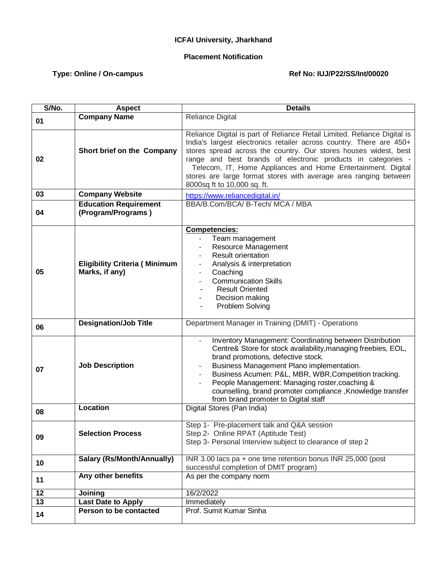## **ICFAI University, Jharkhand**

## **Placement Notification**

## Type: Online / On-campus **Ref No: IUJ/P22/SS/Int/00020**

| S/No.           | <b>Aspect</b>                                          | <b>Details</b>                                                                                                                                                                                                                                                                                                                                                                                                                                         |
|-----------------|--------------------------------------------------------|--------------------------------------------------------------------------------------------------------------------------------------------------------------------------------------------------------------------------------------------------------------------------------------------------------------------------------------------------------------------------------------------------------------------------------------------------------|
| 01              | <b>Company Name</b>                                    | Reliance Digital                                                                                                                                                                                                                                                                                                                                                                                                                                       |
| 02              | Short brief on the Company                             | Reliance Digital is part of Reliance Retail Limited. Reliance Digital is<br>India's largest electronics retailer across country. There are 450+<br>stores spread across the country. Our stores houses widest, best<br>range and best brands of electronic products in categories -<br>Telecom, IT, Home Appliances and Home Entertainment. Digital<br>stores are large format stores with average area ranging between<br>8000sq ft to 10,000 sq. ft. |
| 03              | <b>Company Website</b>                                 | https://www.reliancedigital.in/                                                                                                                                                                                                                                                                                                                                                                                                                        |
| 04              | <b>Education Requirement</b><br>(Program/Programs)     | BBA/B.Com/BCA/ B-Tech/ MCA / MBA                                                                                                                                                                                                                                                                                                                                                                                                                       |
| 05              | <b>Eligibility Criteria (Minimum</b><br>Marks, if any) | Competencies:<br>Team management<br>Resource Management<br>Result orientation<br>Analysis & interpretation<br>Coaching<br><b>Communication Skills</b><br><b>Result Oriented</b><br>Decision making<br>Problem Solving                                                                                                                                                                                                                                  |
| 06              | <b>Designation/Job Title</b>                           | Department Manager in Training (DMIT) - Operations                                                                                                                                                                                                                                                                                                                                                                                                     |
| 07              | <b>Job Description</b>                                 | Inventory Management: Coordinating between Distribution<br>Centre& Store for stock availability, managing freebies, EOL,<br>brand promotions, defective stock.<br>Business Management Plano implementation.<br>Business Acumen: P&L, MBR, WBR, Competition tracking.<br>People Management: Managing roster, coaching &<br>counselling, brand promoter compliance, Knowledge transfer<br>from brand promoter to Digital staff                           |
| 08              | Location                                               | Digital Stores (Pan India)                                                                                                                                                                                                                                                                                                                                                                                                                             |
| 09              | <b>Selection Process</b>                               | Step 1- Pre-placement talk and Q&A session<br>Step 2- Online RPAT (Aptitude Test)<br>Step 3- Personal Interview subject to clearance of step 2                                                                                                                                                                                                                                                                                                         |
| 10              | <b>Salary (Rs/Month/Annually)</b>                      | INR 3.00 lacs pa + one time retention bonus INR 25,000 (post<br>successful completion of DMIT program)                                                                                                                                                                                                                                                                                                                                                 |
| 11              | Any other benefits                                     | As per the company norm                                                                                                                                                                                                                                                                                                                                                                                                                                |
| 12              | Joining                                                | 16/2/2022                                                                                                                                                                                                                                                                                                                                                                                                                                              |
| $\overline{13}$ | <b>Last Date to Apply</b>                              | Immediately                                                                                                                                                                                                                                                                                                                                                                                                                                            |
| 14              | Person to be contacted                                 | Prof. Sumit Kumar Sinha                                                                                                                                                                                                                                                                                                                                                                                                                                |